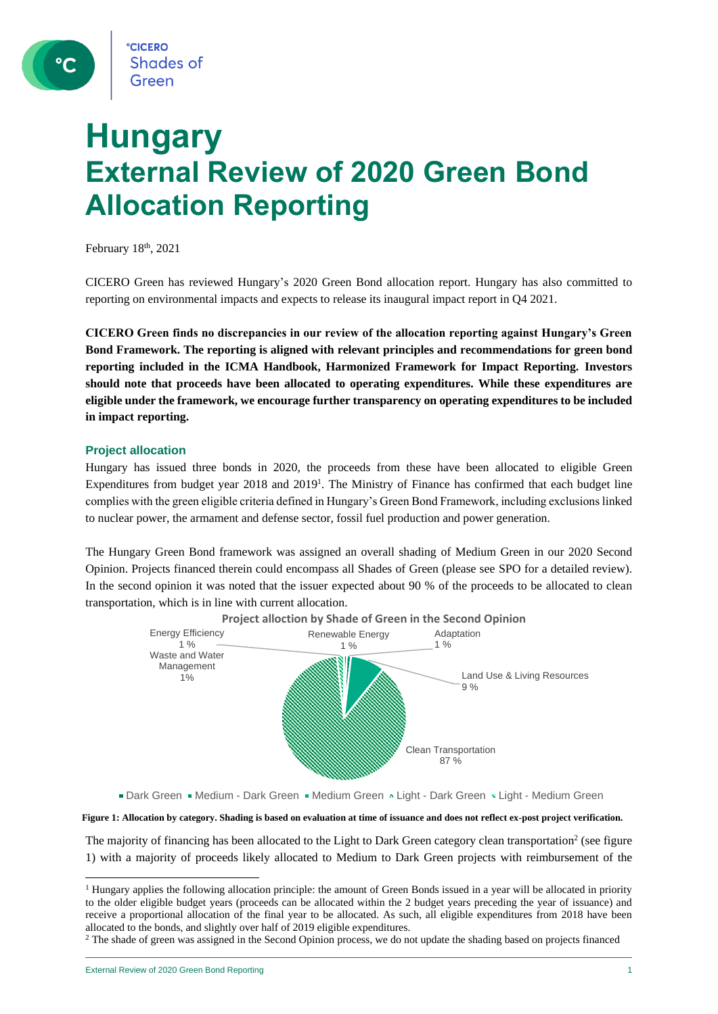# **Hungary External Review of 2020 Green Bond Allocation Reporting**

February 18<sup>th</sup>, 2021

CICERO Green has reviewed Hungary's 2020 Green Bond allocation report. Hungary has also committed to reporting on environmental impacts and expects to release its inaugural impact report in Q4 2021.

**CICERO Green finds no discrepancies in our review of the allocation reporting against Hungary's Green Bond Framework. The reporting is aligned with relevant principles and recommendations for green bond reporting included in the ICMA Handbook, Harmonized Framework for Impact Reporting. Investors should note that proceeds have been allocated to operating expenditures. While these expenditures are eligible under the framework, we encourage further transparency on operating expenditures to be included in impact reporting.**

### **Project allocation**

Hungary has issued three bonds in 2020, the proceeds from these have been allocated to eligible Green Expenditures from budget year 2018 and 2019<sup>1</sup>. The Ministry of Finance has confirmed that each budget line complies with the green eligible criteria defined in Hungary's Green Bond Framework, including exclusions linked to nuclear power, the armament and defense sector, fossil fuel production and power generation.

The Hungary Green Bond framework was assigned an overall shading of Medium Green in our 2020 Second Opinion. Projects financed therein could encompass all Shades of Green (please see SPO for a detailed review). In the second opinion it was noted that the issuer expected about 90 % of the proceeds to be allocated to clean transportation, which is in line with current allocation.



Dark Green Medium - Dark Green Medium Green & Light - Dark Green & Light - Medium Green

#### **Figure 1: Allocation by category. Shading is based on evaluation at time of issuance and does not reflect ex-post project verification.**

The majority of financing has been allocated to the Light to Dark Green category clean transportation<sup>2</sup> (see figure 1) with a majority of proceeds likely allocated to Medium to Dark Green projects with reimbursement of the

<sup>2</sup> The shade of green was assigned in the Second Opinion process, we do not update the shading based on projects financed

<sup>&</sup>lt;sup>1</sup> Hungary applies the following allocation principle: the amount of Green Bonds issued in a year will be allocated in priority to the older eligible budget years (proceeds can be allocated within the 2 budget years preceding the year of issuance) and receive a proportional allocation of the final year to be allocated. As such, all eligible expenditures from 2018 have been allocated to the bonds, and slightly over half of 2019 eligible expenditures.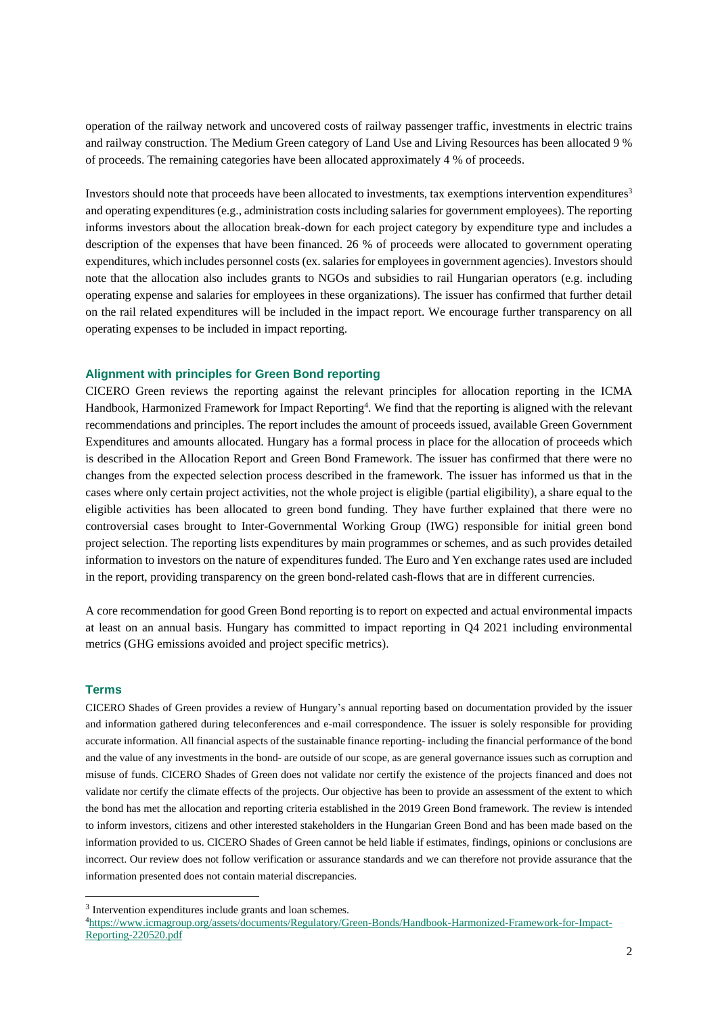operation of the railway network and uncovered costs of railway passenger traffic, investments in electric trains and railway construction. The Medium Green category of Land Use and Living Resources has been allocated 9 % of proceeds. The remaining categories have been allocated approximately 4 % of proceeds.

Investors should note that proceeds have been allocated to investments, tax exemptions intervention expenditures<sup>3</sup> and operating expenditures (e.g., administration costs including salaries for government employees). The reporting informs investors about the allocation break-down for each project category by expenditure type and includes a description of the expenses that have been financed. 26 % of proceeds were allocated to government operating expenditures, which includes personnel costs (ex. salaries for employees in government agencies). Investors should note that the allocation also includes grants to NGOs and subsidies to rail Hungarian operators (e.g. including operating expense and salaries for employees in these organizations). The issuer has confirmed that further detail on the rail related expenditures will be included in the impact report. We encourage further transparency on all operating expenses to be included in impact reporting.

#### **Alignment with principles for Green Bond reporting**

CICERO Green reviews the reporting against the relevant principles for allocation reporting in the ICMA Handbook, Harmonized Framework for Impact Reporting<sup>4</sup>. We find that the reporting is aligned with the relevant recommendations and principles. The report includes the amount of proceeds issued, available Green Government Expenditures and amounts allocated. Hungary has a formal process in place for the allocation of proceeds which is described in the Allocation Report and Green Bond Framework. The issuer has confirmed that there were no changes from the expected selection process described in the framework. The issuer has informed us that in the cases where only certain project activities, not the whole project is eligible (partial eligibility), a share equal to the eligible activities has been allocated to green bond funding. They have further explained that there were no controversial cases brought to Inter-Governmental Working Group (IWG) responsible for initial green bond project selection. The reporting lists expenditures by main programmes or schemes, and as such provides detailed information to investors on the nature of expenditures funded. The Euro and Yen exchange rates used are included in the report, providing transparency on the green bond-related cash-flows that are in different currencies.

A core recommendation for good Green Bond reporting is to report on expected and actual environmental impacts at least on an annual basis. Hungary has committed to impact reporting in Q4 2021 including environmental metrics (GHG emissions avoided and project specific metrics).

#### **Terms**

CICERO Shades of Green provides a review of Hungary's annual reporting based on documentation provided by the issuer and information gathered during teleconferences and e-mail correspondence. The issuer is solely responsible for providing accurate information. All financial aspects of the sustainable finance reporting- including the financial performance of the bond and the value of any investments in the bond- are outside of our scope, as are general governance issues such as corruption and misuse of funds. CICERO Shades of Green does not validate nor certify the existence of the projects financed and does not validate nor certify the climate effects of the projects. Our objective has been to provide an assessment of the extent to which the bond has met the allocation and reporting criteria established in the 2019 Green Bond framework. The review is intended to inform investors, citizens and other interested stakeholders in the Hungarian Green Bond and has been made based on the information provided to us. CICERO Shades of Green cannot be held liable if estimates, findings, opinions or conclusions are incorrect. Our review does not follow verification or assurance standards and we can therefore not provide assurance that the information presented does not contain material discrepancies.

<sup>&</sup>lt;sup>3</sup> Intervention expenditures include grants and loan schemes.

<sup>4</sup>[https://www.icmagroup.org/assets/documents/Regulatory/Green-Bonds/Handbook-Harmonized-Framework-for-Impact-](https://www.icmagroup.org/assets/documents/Regulatory/Green-Bonds/Handbook-Harmonized-Framework-for-Impact-Reporting-220520.pdf)[Reporting-220520.pdf](https://www.icmagroup.org/assets/documents/Regulatory/Green-Bonds/Handbook-Harmonized-Framework-for-Impact-Reporting-220520.pdf)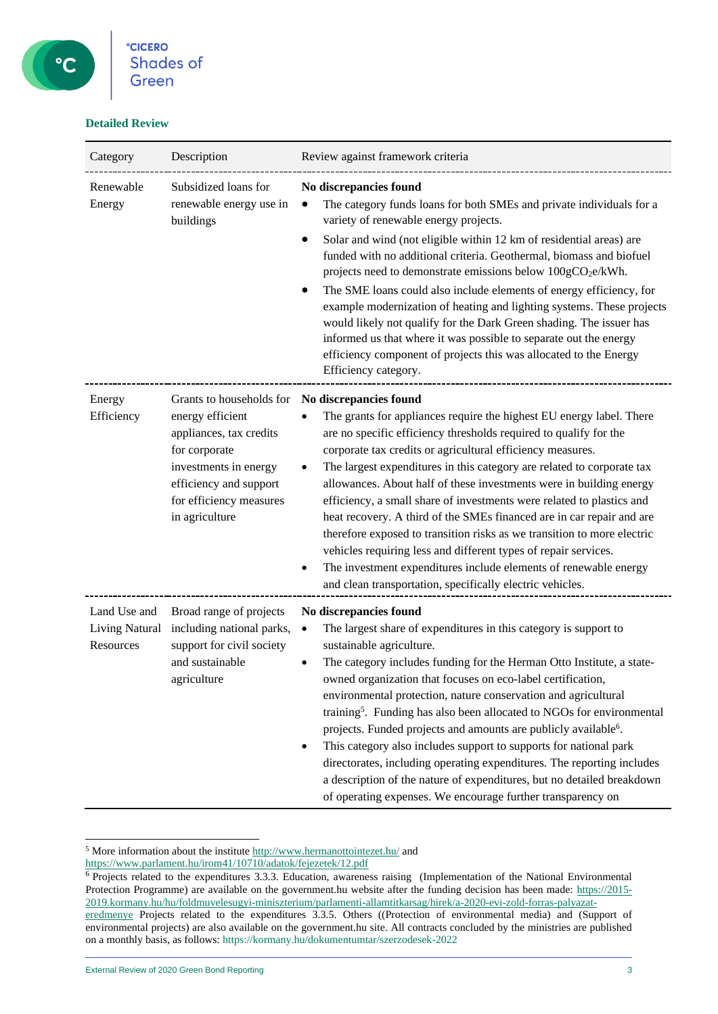## **Detailed Review**

| Category                                           | Description                                                                                                                                                                              | Review against framework criteria                                                                                                                                                                                                                                                                                                                                                                                                                                                                                                                                                                                                                                                                                                                                                                                        |
|----------------------------------------------------|------------------------------------------------------------------------------------------------------------------------------------------------------------------------------------------|--------------------------------------------------------------------------------------------------------------------------------------------------------------------------------------------------------------------------------------------------------------------------------------------------------------------------------------------------------------------------------------------------------------------------------------------------------------------------------------------------------------------------------------------------------------------------------------------------------------------------------------------------------------------------------------------------------------------------------------------------------------------------------------------------------------------------|
| Renewable<br>Energy                                | Subsidized loans for<br>renewable energy use in<br>buildings                                                                                                                             | No discrepancies found<br>The category funds loans for both SMEs and private individuals for a<br>variety of renewable energy projects.<br>Solar and wind (not eligible within 12 km of residential areas) are<br>funded with no additional criteria. Geothermal, biomass and biofuel<br>projects need to demonstrate emissions below 100gCO <sub>2</sub> e/kWh.<br>The SME loans could also include elements of energy efficiency, for<br>example modernization of heating and lighting systems. These projects<br>would likely not qualify for the Dark Green shading. The issuer has<br>informed us that where it was possible to separate out the energy<br>efficiency component of projects this was allocated to the Energy<br>Efficiency category.                                                                |
| Energy<br>Efficiency                               | Grants to households for<br>energy efficient<br>appliances, tax credits<br>for corporate<br>investments in energy<br>efficiency and support<br>for efficiency measures<br>in agriculture | No discrepancies found<br>The grants for appliances require the highest EU energy label. There<br>are no specific efficiency thresholds required to qualify for the<br>corporate tax credits or agricultural efficiency measures.<br>The largest expenditures in this category are related to corporate tax<br>allowances. About half of these investments were in building energy<br>efficiency, a small share of investments were related to plastics and<br>heat recovery. A third of the SMEs financed are in car repair and are<br>therefore exposed to transition risks as we transition to more electric<br>vehicles requiring less and different types of repair services.<br>The investment expenditures include elements of renewable energy<br>٠<br>and clean transportation, specifically electric vehicles. |
| Land Use and<br><b>Living Natural</b><br>Resources | Broad range of projects<br>including national parks,<br>support for civil society<br>and sustainable<br>agriculture                                                                      | No discrepancies found<br>The largest share of expenditures in this category is support to<br>$\bullet$<br>sustainable agriculture.<br>The category includes funding for the Herman Otto Institute, a state-<br>owned organization that focuses on eco-label certification,<br>environmental protection, nature conservation and agricultural<br>training <sup>5</sup> . Funding has also been allocated to NGOs for environmental<br>projects. Funded projects and amounts are publicly available <sup>6</sup> .<br>This category also includes support to supports for national park<br>٠<br>directorates, including operating expenditures. The reporting includes<br>a description of the nature of expenditures, but no detailed breakdown<br>of operating expenses. We encourage further transparency on           |

 $5$  More information about the institute  $\frac{http://www.hermanottointezet.hu/}{$  and

<https://www.parlament.hu/irom41/10710/adatok/fejezetek/12.pdf>

<sup>&</sup>lt;sup>6</sup> Projects related to the expenditures 3.3.3. Education, awareness raising (Implementation of the National Environmental Protection Programme) are available on the government.hu website after the funding decision has been made: [https://2015-](https://2015-2019.kormany.hu/hu/foldmuvelesugyi-miniszterium/parlamenti-allamtitkarsag/hirek/a-2020-evi-zold-forras-palyazat-eredmenye) [2019.kormany.hu/hu/foldmuvelesugyi-miniszterium/parlamenti-allamtitkarsag/hirek/a-2020-evi-zold-forras-palyazat](https://2015-2019.kormany.hu/hu/foldmuvelesugyi-miniszterium/parlamenti-allamtitkarsag/hirek/a-2020-evi-zold-forras-palyazat-eredmenye)[eredmenye](https://2015-2019.kormany.hu/hu/foldmuvelesugyi-miniszterium/parlamenti-allamtitkarsag/hirek/a-2020-evi-zold-forras-palyazat-eredmenye) Projects related to the expenditures 3.3.5. Others ((Protection of environmental media) and (Support of environmental projects) are also available on the government.hu site. All contracts concluded by the ministries are published on a monthly basis, as follows: https://kormany.hu/dokumentumtar/szerzodesek-2022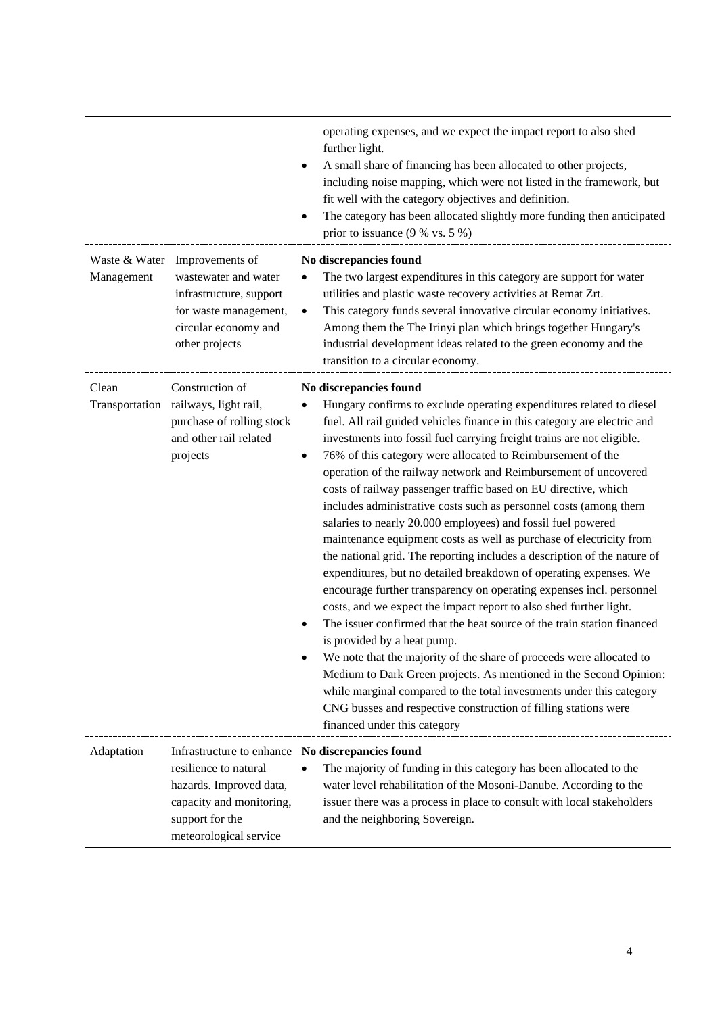|            |                                                                                                                                                                               | operating expenses, and we expect the impact report to also shed<br>further light.<br>A small share of financing has been allocated to other projects,<br>including noise mapping, which were not listed in the framework, but<br>fit well with the category objectives and definition.<br>The category has been allocated slightly more funding then anticipated<br>prior to issuance $(9% \text{ vs. } 5%)$                                                                                                                                                                                                                                                                                                                                                                                                                                                                                                                                                                                                                                                                                                                                                                                                                                                                                                                                                                                                                     |
|------------|-------------------------------------------------------------------------------------------------------------------------------------------------------------------------------|-----------------------------------------------------------------------------------------------------------------------------------------------------------------------------------------------------------------------------------------------------------------------------------------------------------------------------------------------------------------------------------------------------------------------------------------------------------------------------------------------------------------------------------------------------------------------------------------------------------------------------------------------------------------------------------------------------------------------------------------------------------------------------------------------------------------------------------------------------------------------------------------------------------------------------------------------------------------------------------------------------------------------------------------------------------------------------------------------------------------------------------------------------------------------------------------------------------------------------------------------------------------------------------------------------------------------------------------------------------------------------------------------------------------------------------|
| Management | Waste & Water Improvements of<br>wastewater and water<br>infrastructure, support<br>for waste management,<br>circular economy and<br>other projects                           | No discrepancies found<br>The two largest expenditures in this category are support for water<br>$\bullet$<br>utilities and plastic waste recovery activities at Remat Zrt.<br>This category funds several innovative circular economy initiatives.<br>$\bullet$<br>Among them the The Irinyi plan which brings together Hungary's<br>industrial development ideas related to the green economy and the<br>transition to a circular economy.                                                                                                                                                                                                                                                                                                                                                                                                                                                                                                                                                                                                                                                                                                                                                                                                                                                                                                                                                                                      |
| Clean      | Construction of<br>Transportation railways, light rail,<br>purchase of rolling stock<br>and other rail related<br>projects                                                    | No discrepancies found<br>Hungary confirms to exclude operating expenditures related to diesel<br>$\bullet$<br>fuel. All rail guided vehicles finance in this category are electric and<br>investments into fossil fuel carrying freight trains are not eligible.<br>76% of this category were allocated to Reimbursement of the<br>operation of the railway network and Reimbursement of uncovered<br>costs of railway passenger traffic based on EU directive, which<br>includes administrative costs such as personnel costs (among them<br>salaries to nearly 20.000 employees) and fossil fuel powered<br>maintenance equipment costs as well as purchase of electricity from<br>the national grid. The reporting includes a description of the nature of<br>expenditures, but no detailed breakdown of operating expenses. We<br>encourage further transparency on operating expenses incl. personnel<br>costs, and we expect the impact report to also shed further light.<br>The issuer confirmed that the heat source of the train station financed<br>$\bullet$<br>is provided by a heat pump.<br>We note that the majority of the share of proceeds were allocated to<br>Medium to Dark Green projects. As mentioned in the Second Opinion:<br>while marginal compared to the total investments under this category<br>CNG busses and respective construction of filling stations were<br>financed under this category |
| Adaptation | Infrastructure to enhance No discrepancies found<br>resilience to natural<br>hazards. Improved data,<br>capacity and monitoring,<br>support for the<br>meteorological service | The majority of funding in this category has been allocated to the<br>water level rehabilitation of the Mosoni-Danube. According to the<br>issuer there was a process in place to consult with local stakeholders<br>and the neighboring Sovereign.                                                                                                                                                                                                                                                                                                                                                                                                                                                                                                                                                                                                                                                                                                                                                                                                                                                                                                                                                                                                                                                                                                                                                                               |